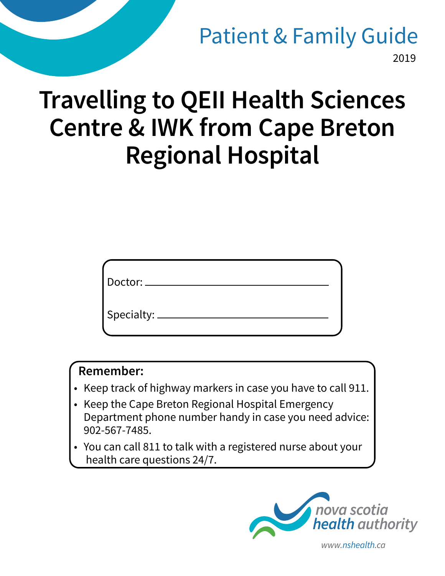## 2019 Patient & Family Guide

# **Travelling to QEII Health Sciences Centre & IWK from Cape Breton Regional Hospital**

| Doctor:      |  |  |
|--------------|--|--|
| Specialty: _ |  |  |

#### **Remember:**

- Keep track of highway markers in case you have to call 911.
- Keep the Cape Breton Regional Hospital Emergency Department phone number handy in case you need advice: 902-567-7485.
- You can call 811 to talk with a registered nurse about your health care questions 24/7.



*www.nshealth.ca*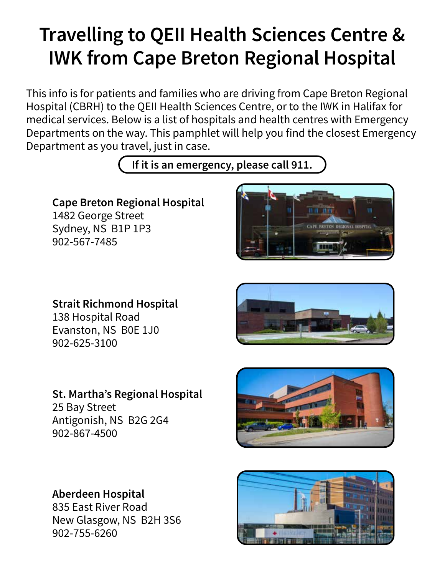# **Travelling to QEII Health Sciences Centre & IWK from Cape Breton Regional Hospital**

This info is for patients and families who are driving from Cape Breton Regional Hospital (CBRH) to the QEII Health Sciences Centre, or to the IWK in Halifax for medical services. Below is a list of hospitals and health centres with Emergency Departments on the way. This pamphlet will help you find the closest Emergency Department as you travel, just in case.

**If it is an emergency, please call 911.**

### **Cape Breton Regional Hospital**

1482 George Street Sydney, NS B1P 1P3 902-567-7485



#### **Strait Richmond Hospital**

138 Hospital Road Evanston, NS B0E 1J0 902-625-3100

**St. Martha's Regional Hospital**

25 Bay Street Antigonish, NS B2G 2G4 902-867-4500





#### **Aberdeen Hospital** 835 East River Road

New Glasgow, NS B2H 3S6 902-755-6260

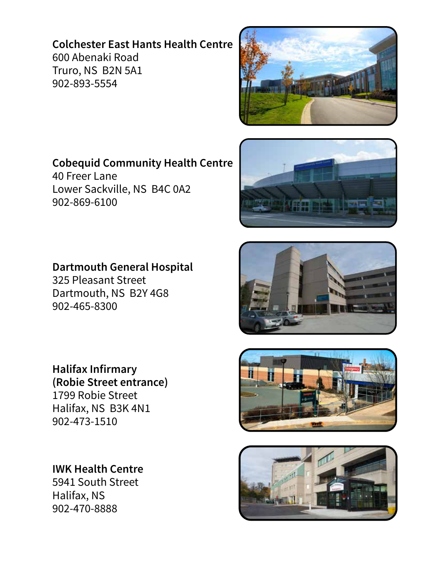#### **Colchester East Hants Health Centre** 600 Abenaki Road Truro, NS B2N 5A1

902-893-5554



**Cobequid Community Health Centre** 40 Freer Lane Lower Sackville, NS B4C 0A2 902-869-6100

**Dartmouth General Hospital** 325 Pleasant Street Dartmouth, NS B2Y 4G8 902-465-8300

 **Halifax Infirmary (Robie Street entrance)** 1799 Robie Street Halifax, NS B3K 4N1 902-473-1510

**IWK Health Centre** 5941 South Street Halifax, NS 902-470-8888